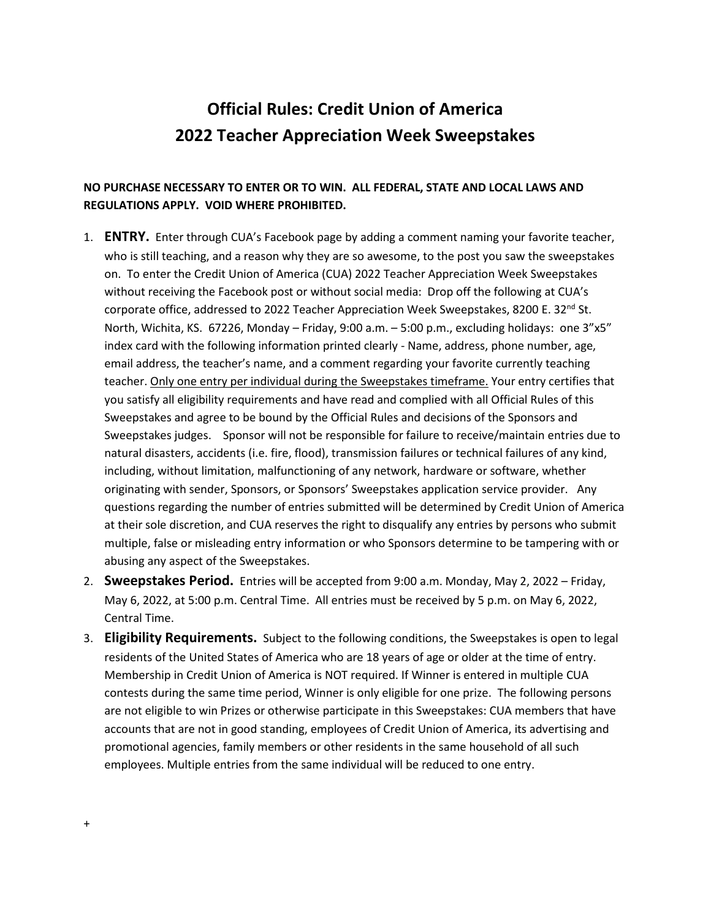## **Official Rules: Credit Union of America 2022 Teacher Appreciation Week Sweepstakes**

## **NO PURCHASE NECESSARY TO ENTER OR TO WIN. ALL FEDERAL, STATE AND LOCAL LAWS AND REGULATIONS APPLY. VOID WHERE PROHIBITED.**

- 1. **ENTRY.** Enter through CUA's Facebook page by adding a comment naming your favorite teacher, who is still teaching, and a reason why they are so awesome, to the post you saw the sweepstakes on. To enter the Credit Union of America (CUA) 2022 Teacher Appreciation Week Sweepstakes without receiving the Facebook post or without social media: Drop off the following at CUA's corporate office, addressed to 2022 Teacher Appreciation Week Sweepstakes, 8200 E. 32<sup>nd</sup> St. North, Wichita, KS. 67226, Monday – Friday, 9:00 a.m. – 5:00 p.m., excluding holidays: one 3"x5" index card with the following information printed clearly - Name, address, phone number, age, email address, the teacher's name, and a comment regarding your favorite currently teaching teacher. Only one entry per individual during the Sweepstakes timeframe. Your entry certifies that you satisfy all eligibility requirements and have read and complied with all Official Rules of this Sweepstakes and agree to be bound by the Official Rules and decisions of the Sponsors and Sweepstakes judges. Sponsor will not be responsible for failure to receive/maintain entries due to natural disasters, accidents (i.e. fire, flood), transmission failures or technical failures of any kind, including, without limitation, malfunctioning of any network, hardware or software, whether originating with sender, Sponsors, or Sponsors' Sweepstakes application service provider. Any questions regarding the number of entries submitted will be determined by Credit Union of America at their sole discretion, and CUA reserves the right to disqualify any entries by persons who submit multiple, false or misleading entry information or who Sponsors determine to be tampering with or abusing any aspect of the Sweepstakes.
- 2. **Sweepstakes Period.** Entries will be accepted from 9:00 a.m. Monday, May 2, 2022 Friday, May 6, 2022, at 5:00 p.m. Central Time. All entries must be received by 5 p.m. on May 6, 2022, Central Time.
- 3. **Eligibility Requirements.** Subject to the following conditions, the Sweepstakes is open to legal residents of the United States of America who are 18 years of age or older at the time of entry. Membership in Credit Union of America is NOT required. If Winner is entered in multiple CUA contests during the same time period, Winner is only eligible for one prize. The following persons are not eligible to win Prizes or otherwise participate in this Sweepstakes: CUA members that have accounts that are not in good standing, employees of Credit Union of America, its advertising and promotional agencies, family members or other residents in the same household of all such employees. Multiple entries from the same individual will be reduced to one entry.